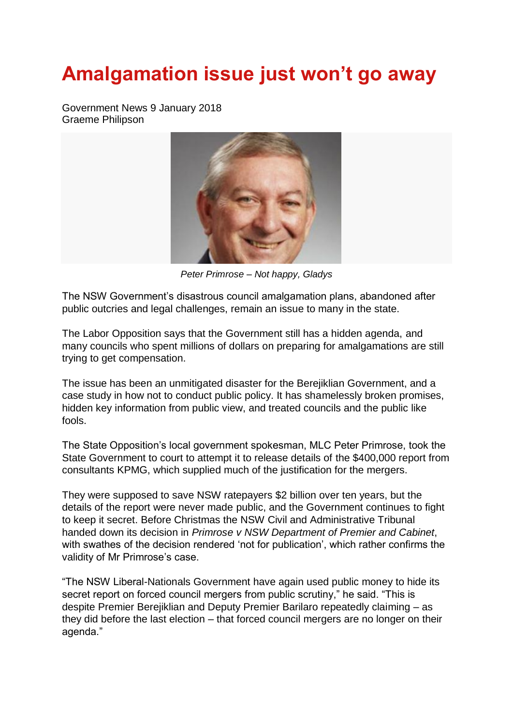## **Amalgamation issue just won't go away**

Government News 9 January 2018 Graeme Philipson



*Peter Primrose – Not happy, Gladys*

The NSW Government's disastrous council amalgamation plans, abandoned after public outcries and legal challenges, remain an issue to many in the state.

The Labor Opposition says that the Government still has a hidden agenda, and many councils who spent millions of dollars on preparing for amalgamations are still trying to get compensation.

The issue has been an unmitigated disaster for the Berejiklian Government, and a case study in how not to conduct public policy. It has shamelessly broken promises, hidden key information from public view, and treated councils and the public like fools.

The State Opposition's local government spokesman, MLC Peter Primrose, took the State Government to court to attempt it to release details of the \$400,000 report from consultants KPMG, which supplied much of the justification for the mergers.

They were supposed to save NSW ratepayers \$2 billion over ten years, but the details of the report were never made public, and the Government continues to fight to keep it secret. Before Christmas the NSW Civil and Administrative Tribunal handed down its decision in *Primrose v NSW Department of Premier and Cabinet*, with swathes of the decision rendered 'not for publication', which rather confirms the validity of Mr Primrose's case.

"The NSW Liberal-Nationals Government have again used public money to hide its secret report on forced council mergers from public scrutiny," he said. "This is despite Premier Berejiklian and Deputy Premier Barilaro repeatedly claiming – as they did before the last election – that forced council mergers are no longer on their agenda."